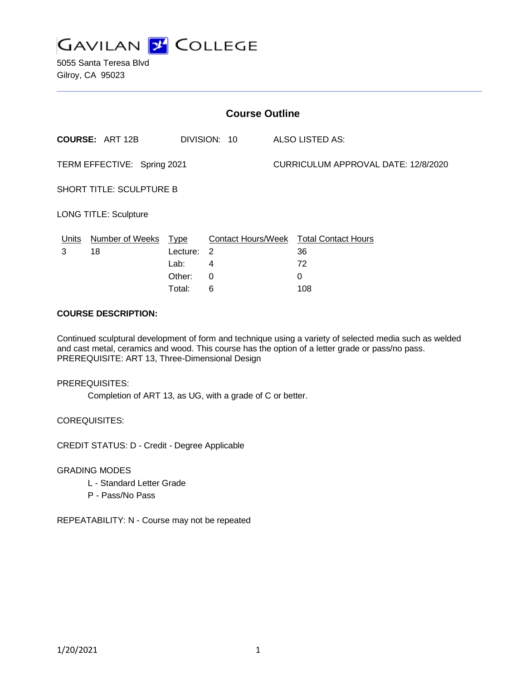

5055 Santa Teresa Blvd Gilroy, CA 95023

| <b>Course Outline</b>           |                        |                                                     |                                                |  |                                                    |  |
|---------------------------------|------------------------|-----------------------------------------------------|------------------------------------------------|--|----------------------------------------------------|--|
|                                 | <b>COURSE: ART 12B</b> |                                                     | DIVISION: 10                                   |  | ALSO LISTED AS:                                    |  |
| TERM EFFECTIVE: Spring 2021     |                        |                                                     |                                                |  | CURRICULUM APPROVAL DATE: 12/8/2020                |  |
| <b>SHORT TITLE: SCULPTURE B</b> |                        |                                                     |                                                |  |                                                    |  |
| <b>LONG TITLE: Sculpture</b>    |                        |                                                     |                                                |  |                                                    |  |
| Units<br>3                      | Number of Weeks<br>18  | <u>Type</u><br>Lecture:<br>Lab:<br>Other:<br>Total: | <b>Contact Hours/Week</b><br>-2<br>4<br>0<br>6 |  | <b>Total Contact Hours</b><br>36<br>72<br>0<br>108 |  |

#### **COURSE DESCRIPTION:**

Continued sculptural development of form and technique using a variety of selected media such as welded and cast metal, ceramics and wood. This course has the option of a letter grade or pass/no pass. PREREQUISITE: ART 13, Three-Dimensional Design

PREREQUISITES:

Completion of ART 13, as UG, with a grade of C or better.

COREQUISITES:

CREDIT STATUS: D - Credit - Degree Applicable

GRADING MODES

- L Standard Letter Grade
- P Pass/No Pass

REPEATABILITY: N - Course may not be repeated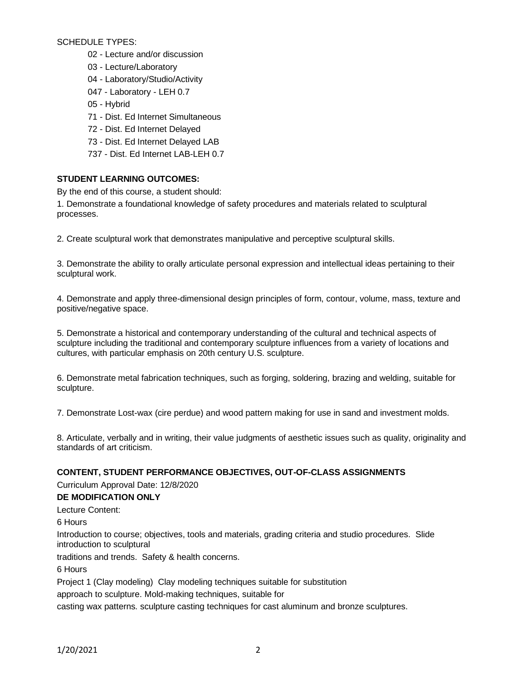SCHEDULE TYPES:

- 02 Lecture and/or discussion
- 03 Lecture/Laboratory
- 04 Laboratory/Studio/Activity
- 047 Laboratory LEH 0.7
- 05 Hybrid
- 71 Dist. Ed Internet Simultaneous
- 72 Dist. Ed Internet Delayed
- 73 Dist. Ed Internet Delayed LAB
- 737 Dist. Ed Internet LAB-LEH 0.7

# **STUDENT LEARNING OUTCOMES:**

By the end of this course, a student should:

1. Demonstrate a foundational knowledge of safety procedures and materials related to sculptural processes.

2. Create sculptural work that demonstrates manipulative and perceptive sculptural skills.

3. Demonstrate the ability to orally articulate personal expression and intellectual ideas pertaining to their sculptural work.

4. Demonstrate and apply three-dimensional design principles of form, contour, volume, mass, texture and positive/negative space.

5. Demonstrate a historical and contemporary understanding of the cultural and technical aspects of sculpture including the traditional and contemporary sculpture influences from a variety of locations and cultures, with particular emphasis on 20th century U.S. sculpture.

6. Demonstrate metal fabrication techniques, such as forging, soldering, brazing and welding, suitable for sculpture.

7. Demonstrate Lost-wax (cire perdue) and wood pattern making for use in sand and investment molds.

8. Articulate, verbally and in writing, their value judgments of aesthetic issues such as quality, originality and standards of art criticism.

#### **CONTENT, STUDENT PERFORMANCE OBJECTIVES, OUT-OF-CLASS ASSIGNMENTS**

Curriculum Approval Date: 12/8/2020

#### **DE MODIFICATION ONLY**

Lecture Content:

6 Hours

Introduction to course; objectives, tools and materials, grading criteria and studio procedures. Slide introduction to sculptural

traditions and trends. Safety & health concerns.

6 Hours

Project 1 (Clay modeling) Clay modeling techniques suitable for substitution

approach to sculpture. Mold-making techniques, suitable for

casting wax patterns. sculpture casting techniques for cast aluminum and bronze sculptures.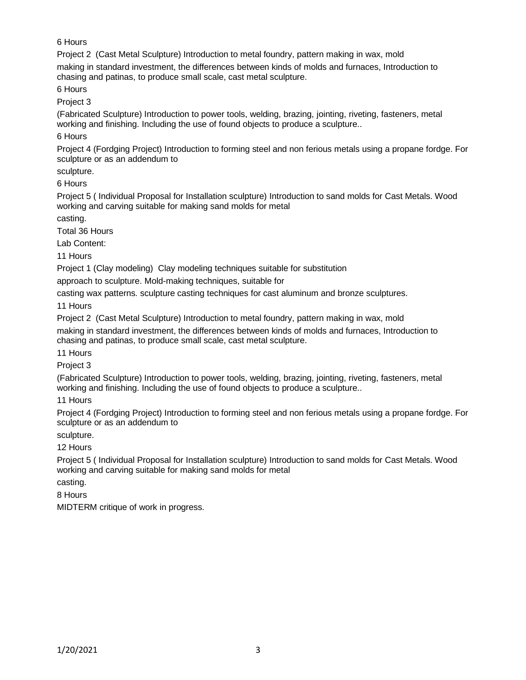# 6 Hours

Project 2 (Cast Metal Sculpture) Introduction to metal foundry, pattern making in wax, mold

making in standard investment, the differences between kinds of molds and furnaces, Introduction to chasing and patinas, to produce small scale, cast metal sculpture.

6 Hours

Project 3

(Fabricated Sculpture) Introduction to power tools, welding, brazing, jointing, riveting, fasteners, metal working and finishing. Including the use of found objects to produce a sculpture..

6 Hours

Project 4 (Fordging Project) Introduction to forming steel and non ferious metals using a propane fordge. For sculpture or as an addendum to

sculpture.

6 Hours

Project 5 ( Individual Proposal for Installation sculpture) Introduction to sand molds for Cast Metals. Wood working and carving suitable for making sand molds for metal

casting.

Total 36 Hours

Lab Content:

11 Hours

Project 1 (Clay modeling) Clay modeling techniques suitable for substitution

approach to sculpture. Mold-making techniques, suitable for

casting wax patterns. sculpture casting techniques for cast aluminum and bronze sculptures.

11 Hours

Project 2 (Cast Metal Sculpture) Introduction to metal foundry, pattern making in wax, mold making in standard investment, the differences between kinds of molds and furnaces, Introduction to chasing and patinas, to produce small scale, cast metal sculpture.

11 Hours

Project 3

(Fabricated Sculpture) Introduction to power tools, welding, brazing, jointing, riveting, fasteners, metal working and finishing. Including the use of found objects to produce a sculpture..

11 Hours

Project 4 (Fordging Project) Introduction to forming steel and non ferious metals using a propane fordge. For sculpture or as an addendum to

sculpture.

12 Hours

Project 5 ( Individual Proposal for Installation sculpture) Introduction to sand molds for Cast Metals. Wood working and carving suitable for making sand molds for metal

casting.

8 Hours

MIDTERM critique of work in progress.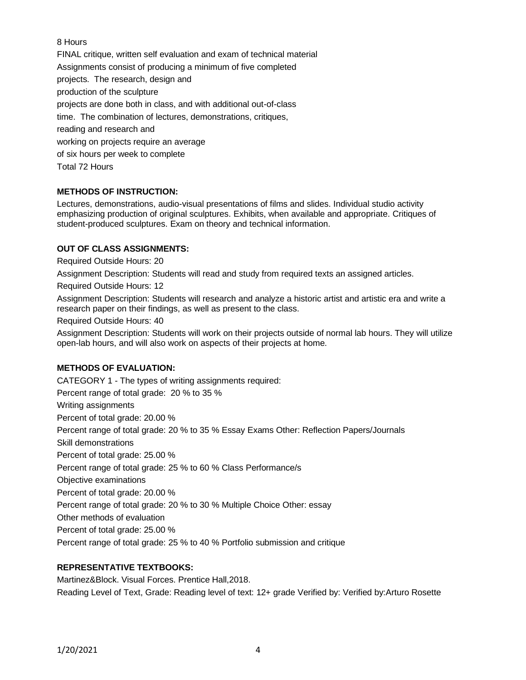8 Hours

FINAL critique, written self evaluation and exam of technical material Assignments consist of producing a minimum of five completed projects. The research, design and production of the sculpture projects are done both in class, and with additional out-of-class time. The combination of lectures, demonstrations, critiques, reading and research and working on projects require an average of six hours per week to complete Total 72 Hours

# **METHODS OF INSTRUCTION:**

Lectures, demonstrations, audio-visual presentations of films and slides. Individual studio activity emphasizing production of original sculptures. Exhibits, when available and appropriate. Critiques of student-produced sculptures. Exam on theory and technical information.

# **OUT OF CLASS ASSIGNMENTS:**

Required Outside Hours: 20

Assignment Description: Students will read and study from required texts an assigned articles.

Required Outside Hours: 12

Assignment Description: Students will research and analyze a historic artist and artistic era and write a research paper on their findings, as well as present to the class.

Required Outside Hours: 40

Assignment Description: Students will work on their projects outside of normal lab hours. They will utilize open-lab hours, and will also work on aspects of their projects at home.

# **METHODS OF EVALUATION:**

CATEGORY 1 - The types of writing assignments required: Percent range of total grade: 20 % to 35 % Writing assignments Percent of total grade: 20.00 % Percent range of total grade: 20 % to 35 % Essay Exams Other: Reflection Papers/Journals Skill demonstrations Percent of total grade: 25.00 % Percent range of total grade: 25 % to 60 % Class Performance/s Objective examinations Percent of total grade: 20.00 % Percent range of total grade: 20 % to 30 % Multiple Choice Other: essay Other methods of evaluation Percent of total grade: 25.00 % Percent range of total grade: 25 % to 40 % Portfolio submission and critique

#### **REPRESENTATIVE TEXTBOOKS:**

Martinez&Block. Visual Forces. Prentice Hall,2018. Reading Level of Text, Grade: Reading level of text: 12+ grade Verified by: Verified by:Arturo Rosette